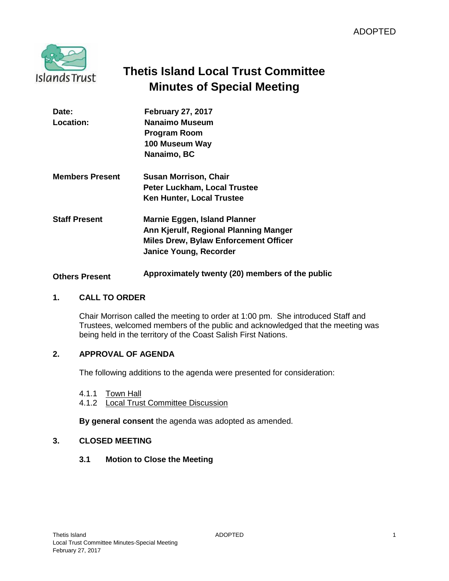

# **Thetis Island Local Trust Committee Minutes of Special Meeting**

| Date:<br>Location:     | <b>February 27, 2017</b><br>Nanaimo Museum<br><b>Program Room</b><br>100 Museum Way<br>Nanaimo, BC                                                     |
|------------------------|--------------------------------------------------------------------------------------------------------------------------------------------------------|
| <b>Members Present</b> | <b>Susan Morrison, Chair</b><br>Peter Luckham, Local Trustee<br>Ken Hunter, Local Trustee                                                              |
| <b>Staff Present</b>   | Marnie Eggen, Island Planner<br>Ann Kjerulf, Regional Planning Manger<br><b>Miles Drew, Bylaw Enforcement Officer</b><br><b>Janice Young, Recorder</b> |
| <b>Others Present</b>  | Approximately twenty (20) members of the public                                                                                                        |

## **1. CALL TO ORDER**

Chair Morrison called the meeting to order at 1:00 pm. She introduced Staff and Trustees, welcomed members of the public and acknowledged that the meeting was being held in the territory of the Coast Salish First Nations.

## **2. APPROVAL OF AGENDA**

The following additions to the agenda were presented for consideration:

- 4.1.1 Town Hall
- 4.1.2 Local Trust Committee Discussion

**By general consent** the agenda was adopted as amended.

#### **3. CLOSED MEETING**

**3.1 Motion to Close the Meeting**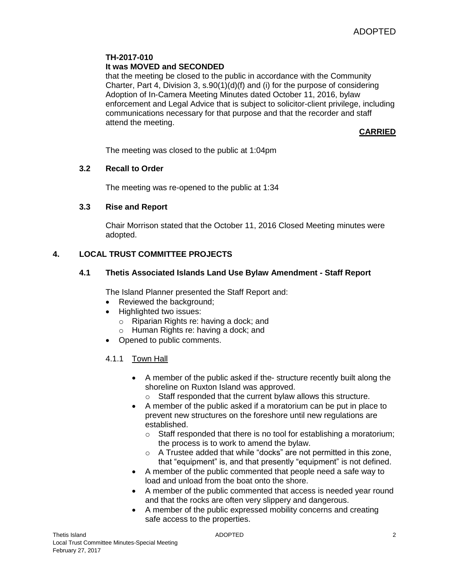# **TH-2017-010**

#### **It was MOVED and SECONDED**

that the meeting be closed to the public in accordance with the Community Charter, Part 4, Division 3, s.90(1)(d)(f) and (i) for the purpose of considering Adoption of In-Camera Meeting Minutes dated October 11, 2016, bylaw enforcement and Legal Advice that is subject to solicitor-client privilege, including communications necessary for that purpose and that the recorder and staff attend the meeting.

**CARRIED**

The meeting was closed to the public at 1:04pm

#### **3.2 Recall to Order**

The meeting was re-opened to the public at 1:34

#### **3.3 Rise and Report**

Chair Morrison stated that the October 11, 2016 Closed Meeting minutes were adopted.

## **4. LOCAL TRUST COMMITTEE PROJECTS**

## **4.1 Thetis Associated Islands Land Use Bylaw Amendment - Staff Report**

The Island Planner presented the Staff Report and:

- Reviewed the background;
- Highlighted two issues:
	- o Riparian Rights re: having a dock; and
	- o Human Rights re: having a dock; and
- Opened to public comments.
- 4.1.1 Town Hall
	- A member of the public asked if the- structure recently built along the shoreline on Ruxton Island was approved.
		- o Staff responded that the current bylaw allows this structure.
	- A member of the public asked if a moratorium can be put in place to prevent new structures on the foreshore until new regulations are established.
		- $\circ$  Staff responded that there is no tool for establishing a moratorium; the process is to work to amend the bylaw.
		- o A Trustee added that while "docks" are not permitted in this zone, that "equipment" is, and that presently "equipment" is not defined.
	- A member of the public commented that people need a safe way to load and unload from the boat onto the shore.
	- A member of the public commented that access is needed year round and that the rocks are often very slippery and dangerous.
	- A member of the public expressed mobility concerns and creating safe access to the properties.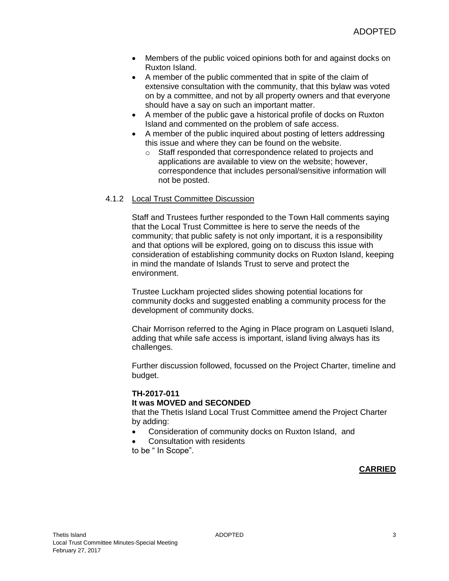- Members of the public voiced opinions both for and against docks on Ruxton Island.
- A member of the public commented that in spite of the claim of extensive consultation with the community, that this bylaw was voted on by a committee, and not by all property owners and that everyone should have a say on such an important matter.
- A member of the public gave a historical profile of docks on Ruxton Island and commented on the problem of safe access.
- A member of the public inquired about posting of letters addressing this issue and where they can be found on the website.
	- o Staff responded that correspondence related to projects and applications are available to view on the website; however, correspondence that includes personal/sensitive information will not be posted.

#### 4.1.2 Local Trust Committee Discussion

Staff and Trustees further responded to the Town Hall comments saying that the Local Trust Committee is here to serve the needs of the community; that public safety is not only important, it is a responsibility and that options will be explored, going on to discuss this issue with consideration of establishing community docks on Ruxton Island, keeping in mind the mandate of Islands Trust to serve and protect the environment.

Trustee Luckham projected slides showing potential locations for community docks and suggested enabling a community process for the development of community docks.

Chair Morrison referred to the Aging in Place program on Lasqueti Island, adding that while safe access is important, island living always has its challenges.

Further discussion followed, focussed on the Project Charter, timeline and budget.

# **TH-2017-011**

#### **It was MOVED and SECONDED**

that the Thetis Island Local Trust Committee amend the Project Charter by adding:

- Consideration of community docks on Ruxton Island, and
- Consultation with residents

to be " In Scope".

## **CARRIED**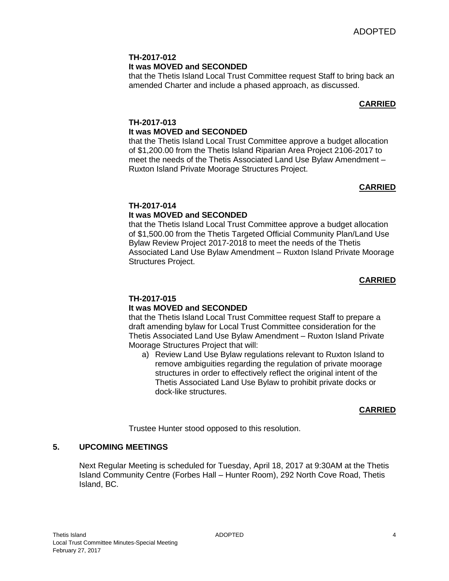# **TH-2017-012 It was MOVED and SECONDED**

that the Thetis Island Local Trust Committee request Staff to bring back an amended Charter and include a phased approach, as discussed.

# **CARRIED**

## **TH-2017-013 It was MOVED and SECONDED**

that the Thetis Island Local Trust Committee approve a budget allocation of \$1,200.00 from the Thetis Island Riparian Area Project 2106-2017 to meet the needs of the Thetis Associated Land Use Bylaw Amendment – Ruxton Island Private Moorage Structures Project.

# **CARRIED**

# **TH-2017-014**

# **It was MOVED and SECONDED**

that the Thetis Island Local Trust Committee approve a budget allocation of \$1,500.00 from the Thetis Targeted Official Community Plan/Land Use Bylaw Review Project 2017-2018 to meet the needs of the Thetis Associated Land Use Bylaw Amendment – Ruxton Island Private Moorage Structures Project.

## **CARRIED**

## **TH-2017-015**

## **It was MOVED and SECONDED**

that the Thetis Island Local Trust Committee request Staff to prepare a draft amending bylaw for Local Trust Committee consideration for the Thetis Associated Land Use Bylaw Amendment – Ruxton Island Private Moorage Structures Project that will:

a) Review Land Use Bylaw regulations relevant to Ruxton Island to remove ambiguities regarding the regulation of private moorage structures in order to effectively reflect the original intent of the Thetis Associated Land Use Bylaw to prohibit private docks or dock-like structures.

## **CARRIED**

Trustee Hunter stood opposed to this resolution.

## **5. UPCOMING MEETINGS**

Next Regular Meeting is scheduled for Tuesday, April 18, 2017 at 9:30AM at the Thetis Island Community Centre (Forbes Hall – Hunter Room), 292 North Cove Road, Thetis Island, BC.